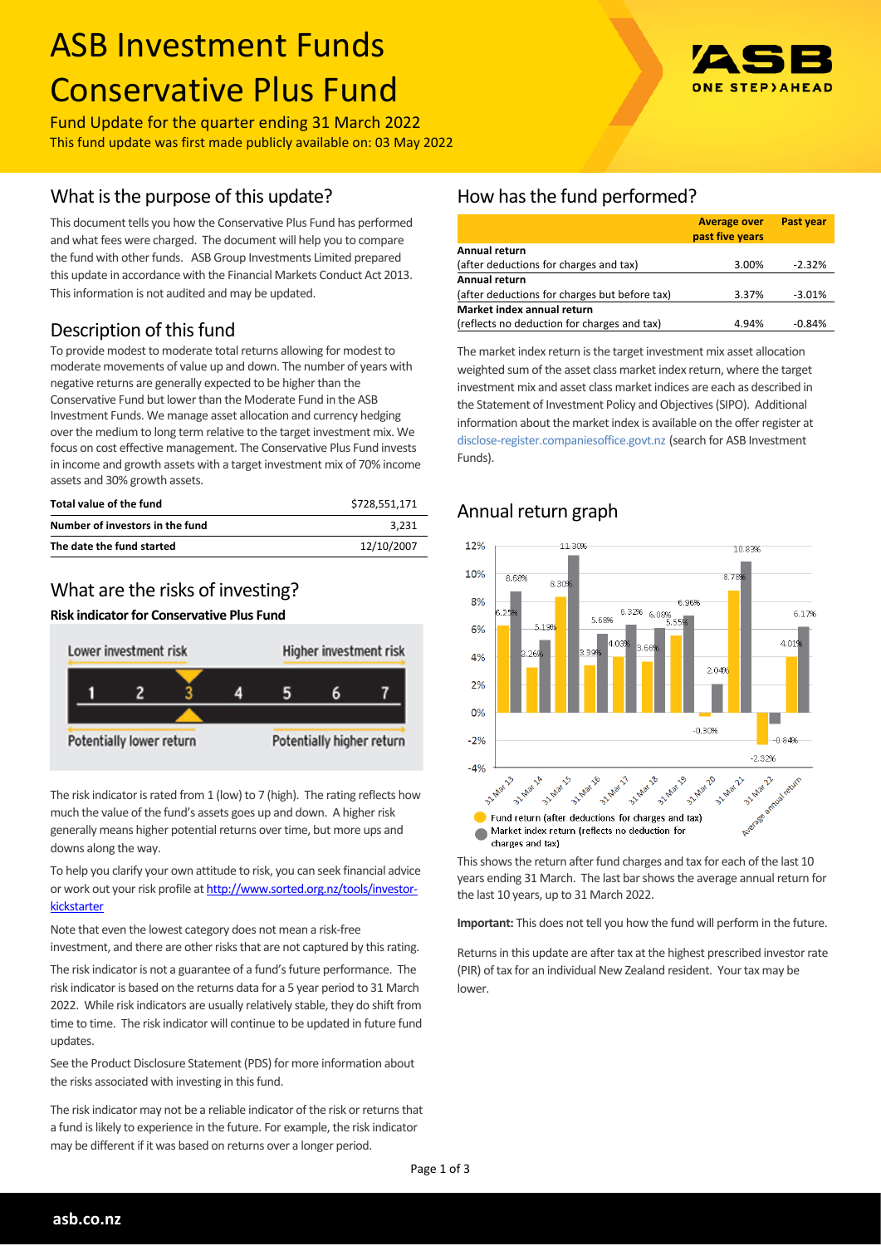# ASB Investment Funds Conservative Plus Fund

Fund Update for the quarter ending 31 March 2022 This fund update was first made publicly available on: 03 May 2022

## What is the purpose of this update?

This document tells you how the Conservative Plus Fund has performed and what fees were charged. The document will help you to compare the fund with other funds. ASB Group Investments Limited prepared this update in accordance with the Financial Markets Conduct Act 2013. This information is not audited and may be updated.

## Description of this fund

To provide modest to moderate total returns allowing for modest to moderate movements of value up and down. The number of years with negative returns are generally expected to be higher than the Conservative Fund but lower than the Moderate Fund in the ASB Investment Funds. We manage asset allocation and currency hedging over the medium to long term relative to the target investment mix. We focus on cost effective management. The Conservative Plus Fund invests in income and growth assets with a target investment mix of 70% income assets and 30% growth assets.

| Total value of the fund         | \$728.551.171 |
|---------------------------------|---------------|
| Number of investors in the fund | 3.231         |
| The date the fund started       | 12/10/2007    |

## What are the risks of investing?

#### **Risk indicator for Conservative Plus Fund**



The risk indicator is rated from 1 (low) to 7 (high). The rating reflects how much the value of the fund's assets goes up and down. A higher risk generally means higher potential returns over time, but more ups and downs along the way.

To help you clarify your own attitude to risk, you can seek financial advice or work out your risk profile at [http://www.sorted.org.nz/tools/investor](http://www.sorted.org.nz/tools/investor-kickstarter)[kickstarter](http://www.sorted.org.nz/tools/investor-kickstarter)

Note that even the lowest category does not mean a risk-free investment, and there are other risks that are not captured by this rating.

The risk indicator is not a guarantee of a fund's future performance. The risk indicator is based on the returns data for a 5 year period to 31 March 2022. While risk indicators are usually relatively stable, they do shift from time to time. The risk indicator will continue to be updated in future fund updates.

See the Product Disclosure Statement (PDS) for more information about the risks associated with investing in this fund.

The risk indicator may not be a reliable indicator of the risk or returns that a fund is likely to experience in the future. For example, the risk indicator may be different if it was based on returns over a longer period.

## How has the fund performed?

|                                               | <b>Average over</b><br>past five years | <b>Past year</b> |
|-----------------------------------------------|----------------------------------------|------------------|
| Annual return                                 |                                        |                  |
| (after deductions for charges and tax)        | 3.00%                                  | $-2.32%$         |
| Annual return                                 |                                        |                  |
| (after deductions for charges but before tax) | 3.37%                                  | $-3.01%$         |
| Market index annual return                    |                                        |                  |
| (reflects no deduction for charges and tax)   | 4.94%                                  | $-0.84%$         |

The market index return is the target investment mix asset allocation weighted sum of the asset class market index return, where the target investment mix and asset class market indices are each as described in the Statement of Investment Policy and Objectives (SIPO). Additional information about the market index is available on the offer register at [disclose-register.companiesoffice.govt.nz](http://www.business.govt.nz/disclose/) (search for ASB Investment Funds).

#### $12%$  $11.309$ 10.83% 10% 8.68% 8.30 8% 5.32% 6.08%  $6, 1706$ 5.68% 5.19%  $6%$ 4.01% 4%  $2049$  $2%$  $\Omega$ %  $-0.30%$  $-0.84%$  $-2%$ -2.22%  $-4%$ 31 Mar 13 **0** Mary1 31 Mar 22 31-Mar 31 Mar 31 Mar Fund return (after deductions for charges and tax) Market index return (reflects no deduction for charges and tax)

This shows the return after fund charges and tax for each of the last 10 years ending 31 March. The last bar shows the average annual return for the last 10 years, up to 31 March 2022.

**Important:** This does not tell you how the fund will perform in the future.

Returns in this update are after tax at the highest prescribed investor rate (PIR) of tax for an individual New Zealand resident. Your tax may be lower.

## Annual return graph

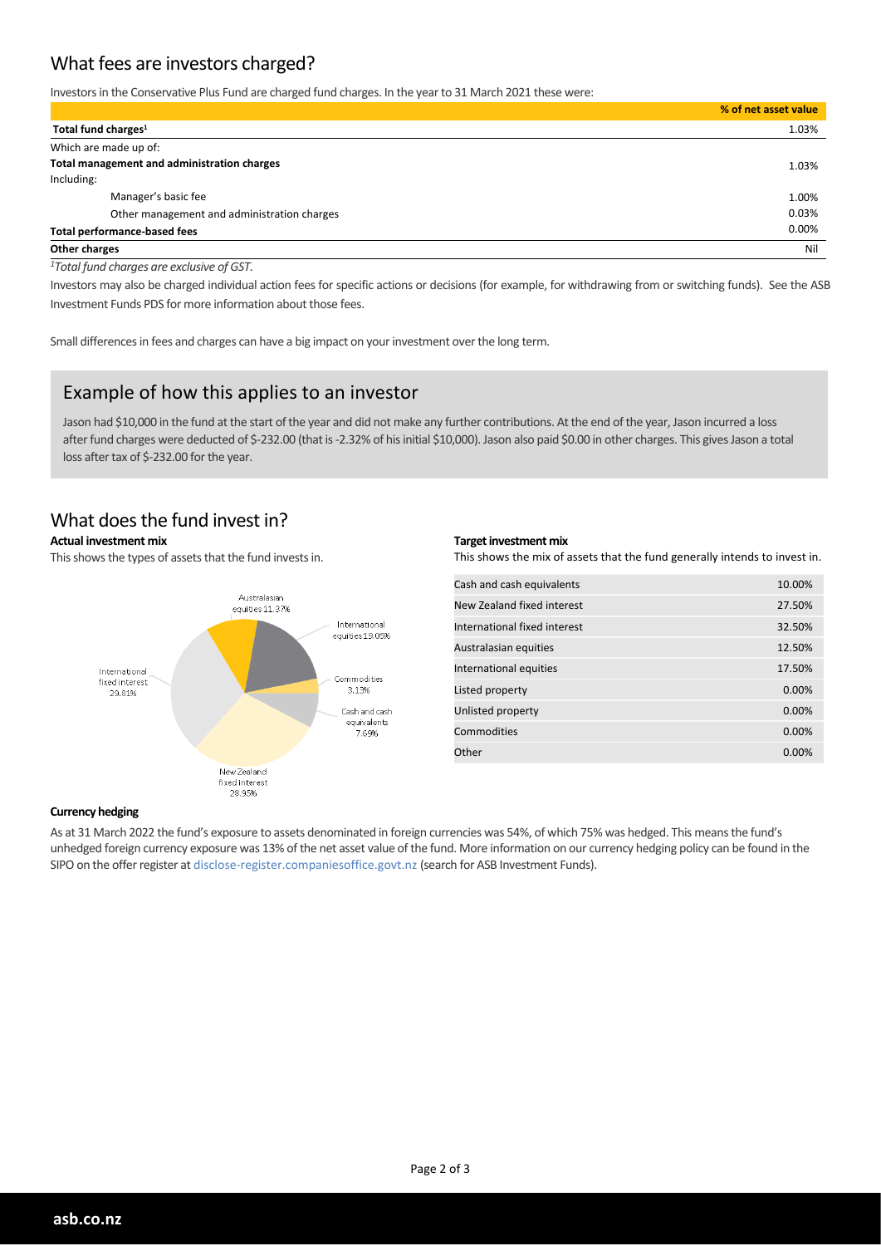## What fees are investors charged?

Investors in the Conservative Plus Fund are charged fund charges. In the year to 31 March 2021 these were:

|                                             | % of net asset value |
|---------------------------------------------|----------------------|
| Total fund charges <sup>1</sup>             | 1.03%                |
| Which are made up of:                       |                      |
| Total management and administration charges | 1.03%                |
| Including:                                  |                      |
| Manager's basic fee                         | 1.00%                |
| Other management and administration charges | 0.03%                |
| <b>Total performance-based fees</b>         | 0.00%                |
| Other charges                               | Nil                  |

*<sup>1</sup>Total fund charges are exclusive of GST.*

Investors may also be charged individual action fees for specific actions or decisions (for example, for withdrawing from or switching funds). See the ASB Investment Funds PDS for more information about those fees.

Small differences in fees and charges can have a big impact on your investment over the long term.

### Example of how this applies to an investor

Jason had \$10,000 in the fund at the start of the year and did not make any further contributions. At the end of the year, Jason incurred a loss after fund charges were deducted of \$-232.00 (that is -2.32% of his initial \$10,000). Jason also paid \$0.00 in other charges. This gives Jason a total loss after tax of \$-232.00 for the year.

### What does the fund invest in?

#### **Actual investment mix**

This shows the types of assets that the fund invests in.



#### **Target investment mix**

This shows the mix of assets that the fund generally intends to invest in.

| Cash and cash equivalents    | 10.00%   |
|------------------------------|----------|
| New Zealand fixed interest   | 27.50%   |
| International fixed interest | 32.50%   |
| Australasian equities        | 12.50%   |
| International equities       | 17.50%   |
| Listed property              | 0.00%    |
| Unlisted property            | 0.00%    |
| Commodities                  | 0.00%    |
| Other                        | $0.00\%$ |

#### **Currency hedging**

As at 31 March 2022 the fund's exposure to assets denominated in foreign currencies was 54%, of which 75% was hedged. This means the fund's unhedged foreign currency exposure was 13% of the net asset value of the fund. More information on our currency hedging policy can be found in the SIPO on the offer register at disclose-register.companiesoffice.govt.nz (search for ASB Investment Funds).